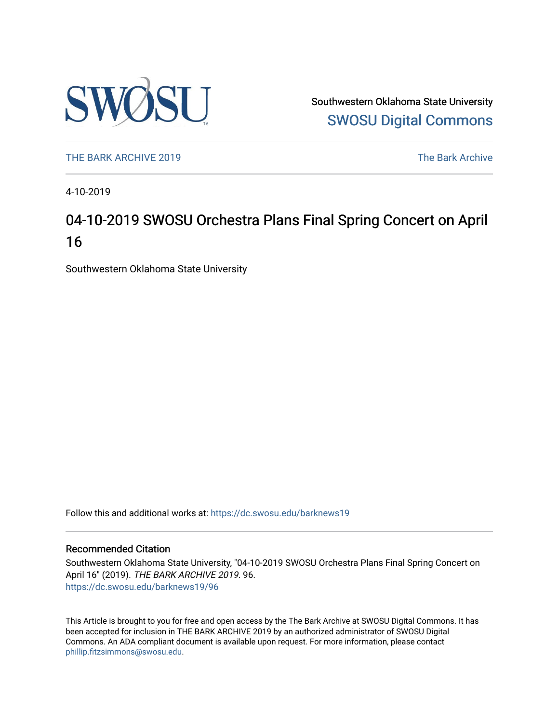

Southwestern Oklahoma State University [SWOSU Digital Commons](https://dc.swosu.edu/) 

[THE BARK ARCHIVE 2019](https://dc.swosu.edu/barknews19) The Bark Archive

4-10-2019

## 04-10-2019 SWOSU Orchestra Plans Final Spring Concert on April 16

Southwestern Oklahoma State University

Follow this and additional works at: [https://dc.swosu.edu/barknews19](https://dc.swosu.edu/barknews19?utm_source=dc.swosu.edu%2Fbarknews19%2F96&utm_medium=PDF&utm_campaign=PDFCoverPages)

#### Recommended Citation

Southwestern Oklahoma State University, "04-10-2019 SWOSU Orchestra Plans Final Spring Concert on April 16" (2019). THE BARK ARCHIVE 2019. 96. [https://dc.swosu.edu/barknews19/96](https://dc.swosu.edu/barknews19/96?utm_source=dc.swosu.edu%2Fbarknews19%2F96&utm_medium=PDF&utm_campaign=PDFCoverPages) 

This Article is brought to you for free and open access by the The Bark Archive at SWOSU Digital Commons. It has been accepted for inclusion in THE BARK ARCHIVE 2019 by an authorized administrator of SWOSU Digital Commons. An ADA compliant document is available upon request. For more information, please contact [phillip.fitzsimmons@swosu.edu](mailto:phillip.fitzsimmons@swosu.edu).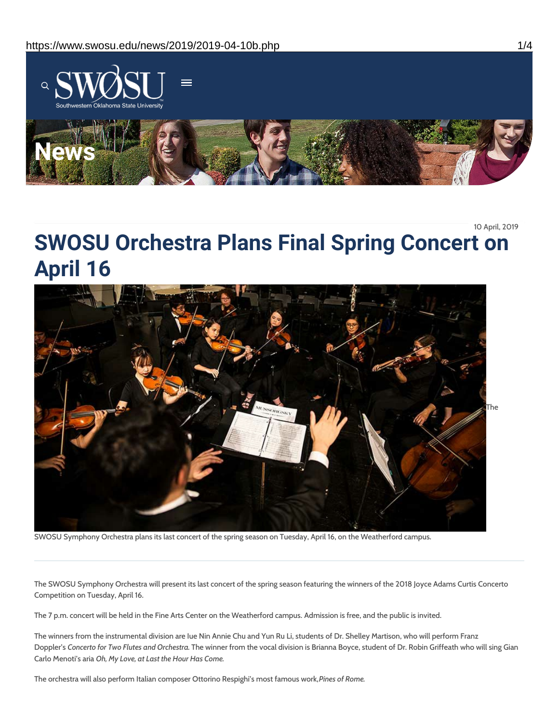

10 April, 2019

# **SWOSU Orchestra Plans Final Spring Concert on April 16**



SWOSU Symphony Orchestra plans its last concert of the spring season on Tuesday, April 16, on the Weatherford campus.

The SWOSU Symphony Orchestra will present its last concert of the spring season featuring the winners of the 2018 Joyce Adams Curtis Concerto Competition on Tuesday, April 16.

The 7 p.m. concert will be held in the Fine Arts Center on the Weatherford campus. Admission is free, and the public is invited.

The winners from the instrumental division are Iue Nin Annie Chu and Yun Ru Li, students of Dr. Shelley Martison, who will perform Franz Doppler's *Concerto for Two Flutes and Orchestra.* The winner from the vocal division is Brianna Boyce, student of Dr. Robin Griffeath who will sing Gian Carlo Menoti's aria *Oh, My Love, at Last the Hour Has Come.*

The orchestra will also perform Italian composer Ottorino Respighi's most famous work,*Pines of Rome.*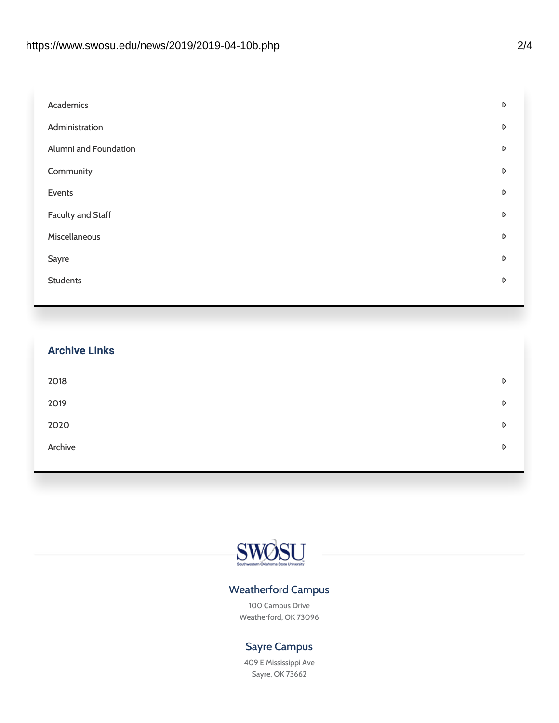| Academics                | D |
|--------------------------|---|
| Administration           | D |
| Alumni and Foundation    | D |
| Community                | D |
| Events                   | D |
| <b>Faculty and Staff</b> | D |
| Miscellaneous            | D |
| Sayre                    | D |
| <b>Students</b>          | D |
|                          |   |

| <b>Archive Links</b> |   |
|----------------------|---|
| 2018                 | D |
| 2019                 | D |
| 2020                 | D |
| Archive              | D |
|                      |   |



### Weatherford Campus

100 Campus Drive Weatherford, OK 73096

### Sayre Campus

409 E Mississippi Ave Sayre, OK 73662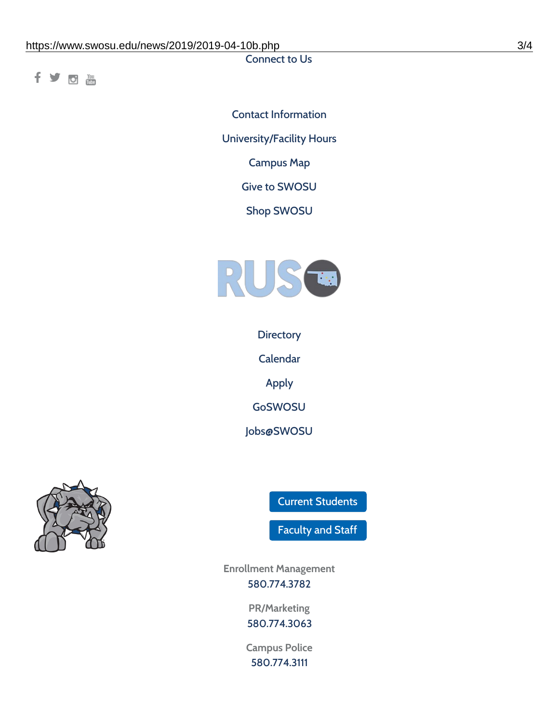Connect to Us

fyom

Contact [Information](https://www.swosu.edu/about/contact.php) [University/Facility](https://www.swosu.edu/about/operating-hours.php) Hours [Campus](https://map.concept3d.com/?id=768#!ct/10964,10214,10213,10212,10205,10204,10203,10202,10136,10129,10128,0,31226,10130,10201,10641,0) Map Give to [SWOSU](https://standingfirmly.com/donate) Shop [SWOSU](https://shopswosu.merchorders.com/)



**[Directory](https://www.swosu.edu/directory/index.php)** 

[Calendar](https://eventpublisher.dudesolutions.com/swosu/)

[Apply](https://www.swosu.edu/admissions/apply-to-swosu.php)

[GoSWOSU](https://qlsso.quicklaunchsso.com/home/1267)

[Jobs@SWOSU](https://swosu.csod.com/ux/ats/careersite/1/home?c=swosu)



Current [Students](https://bulldog.swosu.edu/index.php)

[Faculty](https://bulldog.swosu.edu/faculty-staff/index.php) and Staff

**Enrollment Management** [580.774.3782](tel:5807743782)

> **PR/Marketing** [580.774.3063](tel:5807743063)

**Campus Police** [580.774.3111](tel:5807743111)